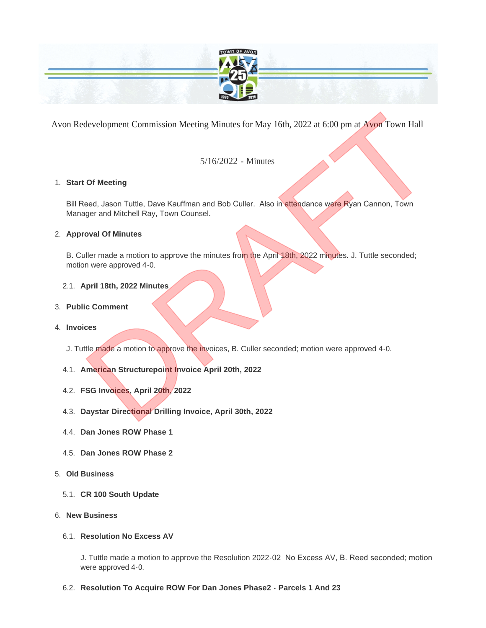

Avon Redevelopment Commission Meeting Minutes for May 16th, 2022 at 6:00 pm at Avon Town Hall

# 5/16/2022 - Minutes

## **Start Of Meeting** 1.

Bill Reed, Jason Tuttle, Dave Kauffman and Bob Culler. Also in attendance were Ryan Cannon, Town Manager and Mitchell Ray, Town Counsel.

## **Approval Of Minutes** 2.

B. Culler made a motion to approve the minutes from the April 18th, 2022 minutes. J. Tuttle seconded; motion were approved 4-0. development Commission Meeting Minutes for May 16th, 2022 at 6:00 pm at Ayon Town Hall<br>5/16/2022 - Minutes<br>Dr Meeting<br>are d. Jason Tuttle, Dave Kauffman and Bob Culler. Also in attendance were Ryan Cannon, Town<br>and of Minu

## **April 18th, 2022 Minutes** 2.1.

## **Public Comment** 3.

## **Invoices** 4.

- J. Tuttle made a motion to approve the invoices, B. Culler seconded; motion were approved 4-0.
- 4.1. American Structurepoint Invoice April 20th, 2022
- **FSG Invoices, April 20th, 2022** 4.2.
- **Daystar Directional Drilling Invoice, April 30th, 2022** 4.3.
- **Dan Jones ROW Phase 1** 4.4.
- **Dan Jones ROW Phase 2** 4.5.
- **Old Business** 5.
	- **CR 100 South Update** 5.1.
- **New Business** 6.

## **Resolution No Excess AV** 6.1.

J. Tuttle made a motion to approve the Resolution 2022-02 No Excess AV, B. Reed seconded; motion were approved 4-0.

## **Resolution To Acquire ROW For Dan Jones Phase2 - Parcels 1 And 23** 6.2.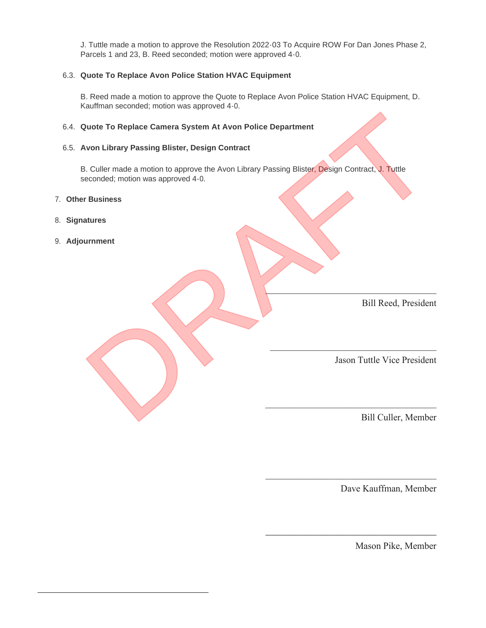J. Tuttle made a motion to approve the Resolution 2022-03 To Acquire ROW For Dan Jones Phase 2, Parcels 1 and 23, B. Reed seconded; motion were approved 4-0.

### **Quote To Replace Avon Police Station HVAC Equipment** 6.3.

B. Reed made a motion to approve the Quote to Replace Avon Police Station HVAC Equipment, D. Kauffman seconded; motion was approved 4-0.

#### **Quote To Replace Camera System At Avon Police Department** 6.4.

#### **Avon Library Passing Blister, Design Contract** 6.5.

B. Culler made a motion to approve the Avon Library Passing Blister, Design Contract, J. Tuttle seconded; motion was approved 4-0. Rude To Replace Camera System At Avon Police Department<br>
Von Library Passing Blister, Design Contract<br>
1. Culler made a motion to approve the Avon Library Passing Blister, Design Contract, J. Tuttle<br>
Econded; motion was ap

 $\mathcal{L}=\mathcal{L}=\mathcal{L}=\mathcal{L}=\mathcal{L}=\mathcal{L}=\mathcal{L}=\mathcal{L}=\mathcal{L}=\mathcal{L}=\mathcal{L}=\mathcal{L}=\mathcal{L}=\mathcal{L}=\mathcal{L}=\mathcal{L}=\mathcal{L}=\mathcal{L}=\mathcal{L}=\mathcal{L}=\mathcal{L}=\mathcal{L}=\mathcal{L}=\mathcal{L}=\mathcal{L}=\mathcal{L}=\mathcal{L}=\mathcal{L}=\mathcal{L}=\mathcal{L}=\mathcal{L}=\mathcal{L}=\mathcal{L}=\mathcal{L}=\mathcal{L}=\mathcal{L}=\mathcal{$ 

 $\mathcal{L}=\mathcal{L}=\mathcal{L}=\mathcal{L}=\mathcal{L}=\mathcal{L}=\mathcal{L}=\mathcal{L}=\mathcal{L}=\mathcal{L}=\mathcal{L}=\mathcal{L}=\mathcal{L}=\mathcal{L}=\mathcal{L}=\mathcal{L}=\mathcal{L}=\mathcal{L}=\mathcal{L}=\mathcal{L}=\mathcal{L}=\mathcal{L}=\mathcal{L}=\mathcal{L}=\mathcal{L}=\mathcal{L}=\mathcal{L}=\mathcal{L}=\mathcal{L}=\mathcal{L}=\mathcal{L}=\mathcal{L}=\mathcal{L}=\mathcal{L}=\mathcal{L}=\mathcal{L}=\mathcal{$ 

- **Other Business** 7.
- **Signatures** 8.
- **Adjournment** 9.

\_\_\_\_\_\_\_\_\_\_\_\_\_\_\_\_\_\_\_\_\_\_\_\_\_\_\_\_\_\_\_\_\_\_\_\_

Bill Reed, President

Jason Tuttle Vice President

 $\mathcal{L}_\mathcal{L}$  , where  $\mathcal{L}_\mathcal{L}$  is the set of the set of the set of the set of the set of the set of the set of the set of the set of the set of the set of the set of the set of the set of the set of the set of the

Bill Culler, Member

Dave Kauffman, Member

 $\overline{\phantom{a}}$ 

\_\_\_\_\_\_\_\_\_\_\_\_\_\_\_\_\_\_\_\_\_\_\_\_\_\_\_\_\_\_\_\_\_\_\_\_

Mason Pike, Member